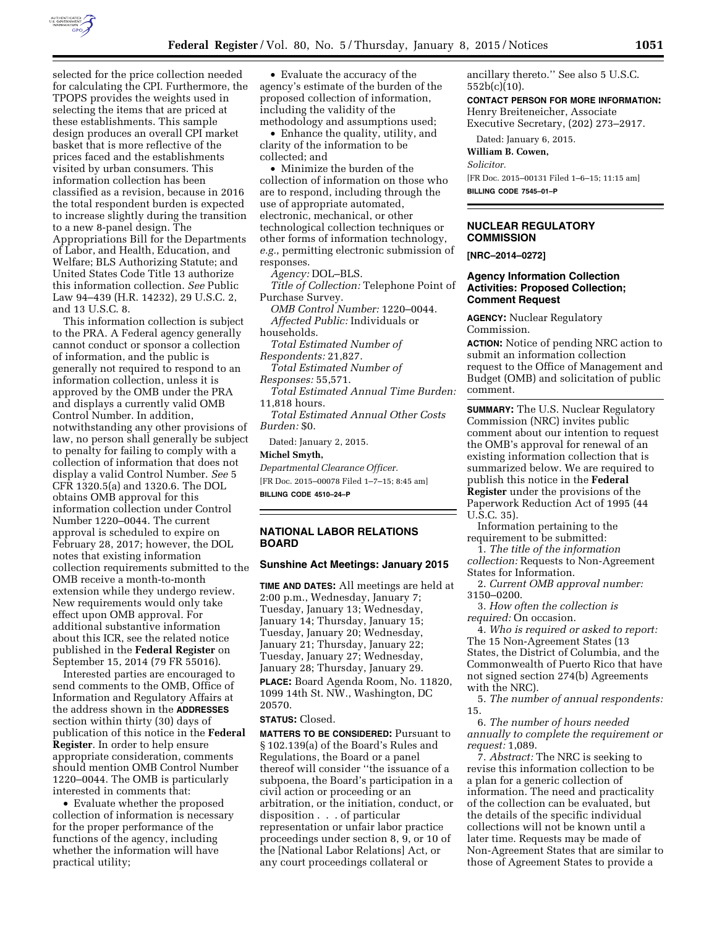

selected for the price collection needed for calculating the CPI. Furthermore, the TPOPS provides the weights used in selecting the items that are priced at these establishments. This sample design produces an overall CPI market basket that is more reflective of the prices faced and the establishments visited by urban consumers. This information collection has been classified as a revision, because in 2016 the total respondent burden is expected to increase slightly during the transition to a new 8-panel design. The Appropriations Bill for the Departments of Labor, and Health, Education, and Welfare; BLS Authorizing Statute; and United States Code Title 13 authorize this information collection. *See* Public Law 94–439 (H.R. 14232), 29 U.S.C. 2, and 13 U.S.C. 8.

This information collection is subject to the PRA. A Federal agency generally cannot conduct or sponsor a collection of information, and the public is generally not required to respond to an information collection, unless it is approved by the OMB under the PRA and displays a currently valid OMB Control Number. In addition, notwithstanding any other provisions of law, no person shall generally be subject to penalty for failing to comply with a collection of information that does not display a valid Control Number. *See* 5 CFR 1320.5(a) and 1320.6. The DOL obtains OMB approval for this information collection under Control Number 1220–0044. The current approval is scheduled to expire on February 28, 2017; however, the DOL notes that existing information collection requirements submitted to the OMB receive a month-to-month extension while they undergo review. New requirements would only take effect upon OMB approval. For additional substantive information about this ICR, see the related notice published in the **Federal Register** on September 15, 2014 (79 FR 55016).

Interested parties are encouraged to send comments to the OMB, Office of Information and Regulatory Affairs at the address shown in the **ADDRESSES** section within thirty (30) days of publication of this notice in the **Federal Register**. In order to help ensure appropriate consideration, comments should mention OMB Control Number 1220–0044. The OMB is particularly interested in comments that:

• Evaluate whether the proposed collection of information is necessary for the proper performance of the functions of the agency, including whether the information will have practical utility;

• Evaluate the accuracy of the agency's estimate of the burden of the proposed collection of information, including the validity of the methodology and assumptions used;

• Enhance the quality, utility, and clarity of the information to be collected; and

• Minimize the burden of the collection of information on those who are to respond, including through the use of appropriate automated, electronic, mechanical, or other technological collection techniques or other forms of information technology, *e.g.*, permitting electronic submission of responses.

*Agency:* DOL–BLS.

*Title of Collection:* Telephone Point of Purchase Survey.

*OMB Control Number:* 1220–0044. *Affected Public:* Individuals or households.

*Total Estimated Number of* 

*Respondents:* 21,827.

*Total Estimated Number of Responses:* 55,571.

*Total Estimated Annual Time Burden:*  11,818 hours.

*Total Estimated Annual Other Costs Burden:* \$0.

Dated: January 2, 2015.

#### **Michel Smyth,**

*Departmental Clearance Officer.*  [FR Doc. 2015–00078 Filed 1–7–15; 8:45 am] **BILLING CODE 4510–24–P** 

## **NATIONAL LABOR RELATIONS BOARD**

### **Sunshine Act Meetings: January 2015**

**TIME AND DATES:** All meetings are held at 2:00 p.m., Wednesday, January 7; Tuesday, January 13; Wednesday, January 14; Thursday, January 15; Tuesday, January 20; Wednesday, January 21; Thursday, January 22; Tuesday, January 27; Wednesday, January 28; Thursday, January 29. **PLACE:** Board Agenda Room, No. 11820, 1099 14th St. NW., Washington, DC 20570.

#### **STATUS:** Closed.

**MATTERS TO BE CONSIDERED:** Pursuant to § 102.139(a) of the Board's Rules and Regulations, the Board or a panel thereof will consider ''the issuance of a subpoena, the Board's participation in a civil action or proceeding or an arbitration, or the initiation, conduct, or disposition . . . of particular representation or unfair labor practice proceedings under section 8, 9, or 10 of the [National Labor Relations] Act, or any court proceedings collateral or

ancillary thereto.'' See also 5 U.S.C. 552b(c)(10).

**CONTACT PERSON FOR MORE INFORMATION:** 

Henry Breiteneicher, Associate Executive Secretary, (202) 273–2917.

Dated: January 6, 2015.

**William B. Cowen,** 

*Solicitor.* 

[FR Doc. 2015–00131 Filed 1–6–15; 11:15 am] **BILLING CODE 7545–01–P** 

## **NUCLEAR REGULATORY COMMISSION**

**[NRC–2014–0272]** 

# **Agency Information Collection Activities: Proposed Collection; Comment Request**

**AGENCY:** Nuclear Regulatory Commission.

**ACTION:** Notice of pending NRC action to submit an information collection request to the Office of Management and Budget (OMB) and solicitation of public comment.

**SUMMARY:** The U.S. Nuclear Regulatory Commission (NRC) invites public comment about our intention to request the OMB's approval for renewal of an existing information collection that is summarized below. We are required to publish this notice in the **Federal Register** under the provisions of the Paperwork Reduction Act of 1995 (44 U.S.C. 35).

Information pertaining to the requirement to be submitted:

1. *The title of the information collection:* Requests to Non-Agreement States for Information.

2. *Current OMB approval number:*  3150–0200.

3. *How often the collection is required:* On occasion.

4. *Who is required or asked to report:*  The 15 Non-Agreement States (13 States, the District of Columbia, and the Commonwealth of Puerto Rico that have not signed section 274(b) Agreements with the NRC).

5. *The number of annual respondents:*  15.

6. *The number of hours needed annually to complete the requirement or request:* 1,089.

7. *Abstract:* The NRC is seeking to revise this information collection to be a plan for a generic collection of information. The need and practicality of the collection can be evaluated, but the details of the specific individual collections will not be known until a later time. Requests may be made of Non-Agreement States that are similar to those of Agreement States to provide a